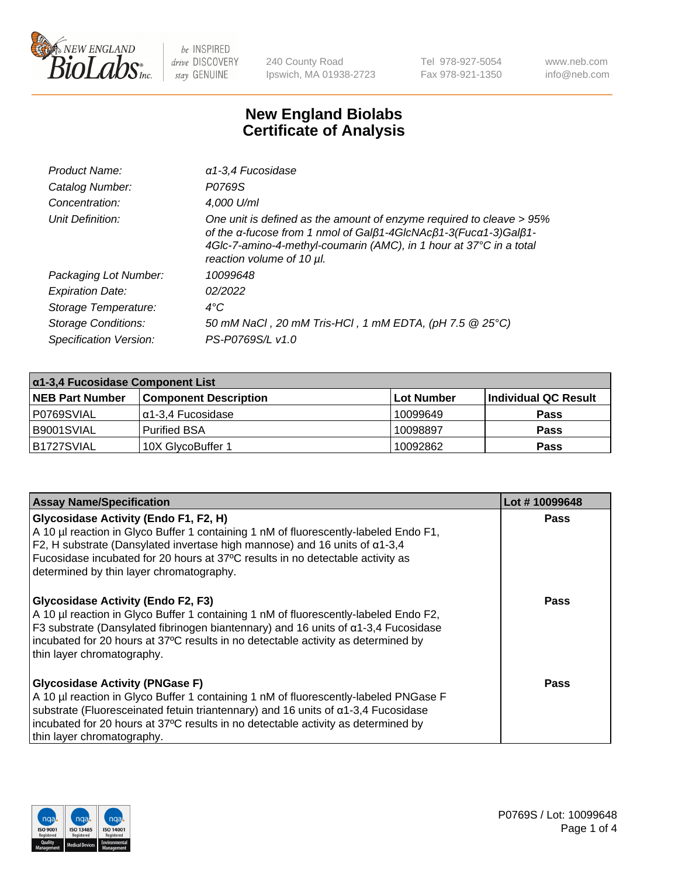

240 County Road Ipswich, MA 01938-2723 Tel 978-927-5054 Fax 978-921-1350 www.neb.com info@neb.com

## **New England Biolabs Certificate of Analysis**

| Product Name:              | a1-3,4 Fucosidase                                                                                                                                                                                                                          |
|----------------------------|--------------------------------------------------------------------------------------------------------------------------------------------------------------------------------------------------------------------------------------------|
| Catalog Number:            | P0769S                                                                                                                                                                                                                                     |
| Concentration:             | 4,000 U/ml                                                                                                                                                                                                                                 |
| Unit Definition:           | One unit is defined as the amount of enzyme required to cleave > 95%<br>of the α-fucose from 1 nmol of Galβ1-4GIcNAcβ1-3(Fucα1-3)Galβ1-<br>4Glc-7-amino-4-methyl-coumarin (AMC), in 1 hour at 37°C in a total<br>reaction volume of 10 µl. |
| Packaging Lot Number:      | 10099648                                                                                                                                                                                                                                   |
| <b>Expiration Date:</b>    | 02/2022                                                                                                                                                                                                                                    |
| Storage Temperature:       | $4^{\circ}$ C                                                                                                                                                                                                                              |
| <b>Storage Conditions:</b> | 50 mM NaCl, 20 mM Tris-HCl, 1 mM EDTA, (pH 7.5 @ 25°C)                                                                                                                                                                                     |
| Specification Version:     | PS-P0769S/L v1.0                                                                                                                                                                                                                           |

| $\alpha$ 1-3,4 Fucosidase Component List |                              |            |                      |  |
|------------------------------------------|------------------------------|------------|----------------------|--|
| <b>NEB Part Number</b>                   | <b>Component Description</b> | Lot Number | Individual QC Result |  |
| P0769SVIAL                               | α1-3,4 Fucosidase            | 10099649   | <b>Pass</b>          |  |
| B9001SVIAL                               | <b>Purified BSA</b>          | 10098897   | <b>Pass</b>          |  |
| B1727SVIAL                               | 10X GlycoBuffer 1            | 10092862   | <b>Pass</b>          |  |

| <b>Assay Name/Specification</b>                                                                                                                                                                                                                                                                                                                   | Lot #10099648 |
|---------------------------------------------------------------------------------------------------------------------------------------------------------------------------------------------------------------------------------------------------------------------------------------------------------------------------------------------------|---------------|
| Glycosidase Activity (Endo F1, F2, H)<br>A 10 µl reaction in Glyco Buffer 1 containing 1 nM of fluorescently-labeled Endo F1,<br>F2, H substrate (Dansylated invertase high mannose) and 16 units of $\alpha$ 1-3,4<br>Fucosidase incubated for 20 hours at 37°C results in no detectable activity as<br>determined by thin layer chromatography. | Pass          |
| Glycosidase Activity (Endo F2, F3)<br>A 10 µl reaction in Glyco Buffer 1 containing 1 nM of fluorescently-labeled Endo F2,<br>F3 substrate (Dansylated fibrinogen biantennary) and 16 units of $\alpha$ 1-3,4 Fucosidase<br>incubated for 20 hours at 37°C results in no detectable activity as determined by<br>thin layer chromatography.       | <b>Pass</b>   |
| <b>Glycosidase Activity (PNGase F)</b><br>A 10 µl reaction in Glyco Buffer 1 containing 1 nM of fluorescently-labeled PNGase F<br>substrate (Fluoresceinated fetuin triantennary) and 16 units of α1-3,4 Fucosidase<br>incubated for 20 hours at 37°C results in no detectable activity as determined by<br>thin layer chromatography.            | Pass          |

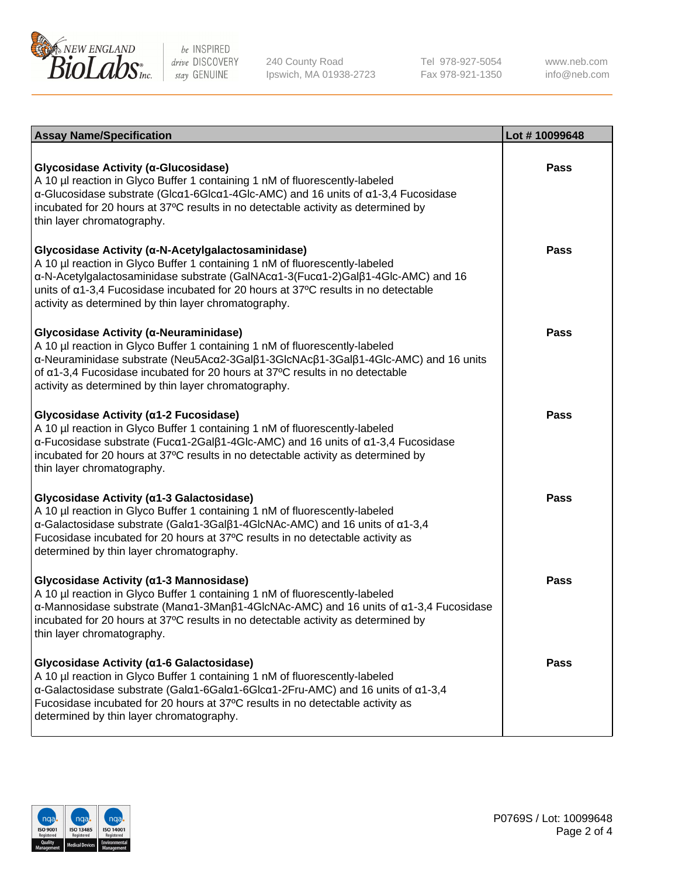

240 County Road Ipswich, MA 01938-2723 Tel 978-927-5054 Fax 978-921-1350

www.neb.com info@neb.com

| <b>Assay Name/Specification</b>                                                                                                                                                                                                                                                                                                                                     | Lot #10099648 |
|---------------------------------------------------------------------------------------------------------------------------------------------------------------------------------------------------------------------------------------------------------------------------------------------------------------------------------------------------------------------|---------------|
| Glycosidase Activity (α-Glucosidase)<br>A 10 µl reaction in Glyco Buffer 1 containing 1 nM of fluorescently-labeled<br>$\alpha$ -Glucosidase substrate (Glc $\alpha$ 1-6Glc $\alpha$ 1-4Glc-AMC) and 16 units of $\alpha$ 1-3,4 Fucosidase<br>incubated for 20 hours at 37°C results in no detectable activity as determined by<br>thin layer chromatography.       | <b>Pass</b>   |
| Glycosidase Activity (α-N-Acetylgalactosaminidase)<br>A 10 µl reaction in Glyco Buffer 1 containing 1 nM of fluorescently-labeled<br>α-N-Acetylgalactosaminidase substrate (GalNAcα1-3(Fucα1-2)Galβ1-4Glc-AMC) and 16<br>units of a1-3,4 Fucosidase incubated for 20 hours at 37°C results in no detectable<br>activity as determined by thin layer chromatography. | Pass          |
| Glycosidase Activity (α-Neuraminidase)<br>A 10 µl reaction in Glyco Buffer 1 containing 1 nM of fluorescently-labeled<br>α-Neuraminidase substrate (Neu5Acα2-3Galβ1-3GlcNAcβ1-3Galβ1-4Glc-AMC) and 16 units<br>of α1-3,4 Fucosidase incubated for 20 hours at 37°C results in no detectable<br>activity as determined by thin layer chromatography.                 | <b>Pass</b>   |
| Glycosidase Activity (α1-2 Fucosidase)<br>A 10 µl reaction in Glyco Buffer 1 containing 1 nM of fluorescently-labeled<br>$\alpha$ -Fucosidase substrate (Fuc $\alpha$ 1-2Gal $\beta$ 1-4Glc-AMC) and 16 units of $\alpha$ 1-3,4 Fucosidase<br>incubated for 20 hours at 37°C results in no detectable activity as determined by<br>thin layer chromatography.       | <b>Pass</b>   |
| Glycosidase Activity (a1-3 Galactosidase)<br>A 10 µl reaction in Glyco Buffer 1 containing 1 nM of fluorescently-labeled<br>α-Galactosidase substrate (Galα1-3Galβ1-4GlcNAc-AMC) and 16 units of α1-3,4<br>Fucosidase incubated for 20 hours at 37°C results in no detectable activity as<br>determined by thin layer chromatography.                               | <b>Pass</b>   |
| Glycosidase Activity (a1-3 Mannosidase)<br>A 10 µl reaction in Glyco Buffer 1 containing 1 nM of fluorescently-labeled<br>α-Mannosidase substrate (Manα1-3Manβ1-4GlcNAc-AMC) and 16 units of α1-3,4 Fucosidase<br>incubated for 20 hours at 37°C results in no detectable activity as determined by<br>thin layer chromatography.                                   | <b>Pass</b>   |
| Glycosidase Activity (α1-6 Galactosidase)<br>A 10 µl reaction in Glyco Buffer 1 containing 1 nM of fluorescently-labeled<br>α-Galactosidase substrate (Galα1-6Galα1-6Glcα1-2Fru-AMC) and 16 units of α1-3,4<br>Fucosidase incubated for 20 hours at 37°C results in no detectable activity as<br>determined by thin layer chromatography.                           | Pass          |

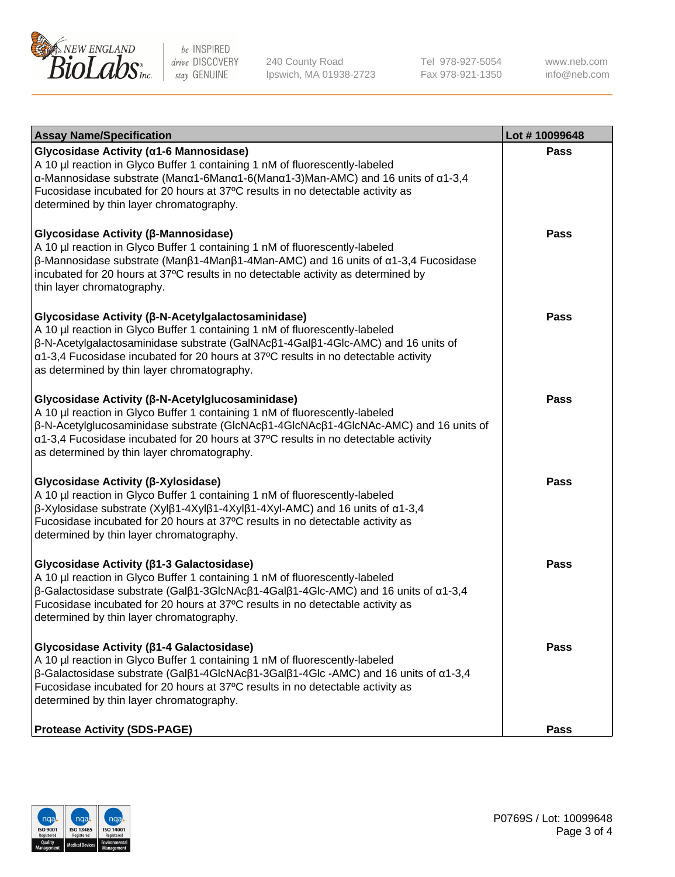

240 County Road Ipswich, MA 01938-2723 Tel 978-927-5054 Fax 978-921-1350 www.neb.com info@neb.com

| <b>Assay Name/Specification</b>                                                                                                                                                                                                                                                                                                                              | Lot #10099648 |
|--------------------------------------------------------------------------------------------------------------------------------------------------------------------------------------------------------------------------------------------------------------------------------------------------------------------------------------------------------------|---------------|
| Glycosidase Activity (α1-6 Mannosidase)<br>A 10 µl reaction in Glyco Buffer 1 containing 1 nM of fluorescently-labeled<br>α-Mannosidase substrate (Manα1-6Manα1-6(Manα1-3)Man-AMC) and 16 units of α1-3,4<br>Fucosidase incubated for 20 hours at 37°C results in no detectable activity as<br>determined by thin layer chromatography.                      | <b>Pass</b>   |
| Glycosidase Activity (β-Mannosidase)<br>A 10 µl reaction in Glyco Buffer 1 containing 1 nM of fluorescently-labeled<br>$\beta$ -Mannosidase substrate (Μanβ1-4Μanβ1-4Μan-AMC) and 16 units of α1-3,4 Fucosidase<br>incubated for 20 hours at 37°C results in no detectable activity as determined by<br>thin layer chromatography.                           | <b>Pass</b>   |
| Glycosidase Activity (β-N-Acetylgalactosaminidase)<br>A 10 µl reaction in Glyco Buffer 1 containing 1 nM of fluorescently-labeled<br>β-N-Acetylgalactosaminidase substrate (GalNAcβ1-4Galβ1-4Glc-AMC) and 16 units of<br>α1-3,4 Fucosidase incubated for 20 hours at 37°C results in no detectable activity<br>as determined by thin layer chromatography.   | Pass          |
| Glycosidase Activity (β-N-Acetylglucosaminidase)<br>A 10 µl reaction in Glyco Buffer 1 containing 1 nM of fluorescently-labeled<br>β-N-Acetylglucosaminidase substrate (GlcNAcβ1-4GlcNAcβ1-4GlcNAc-AMC) and 16 units of<br>α1-3,4 Fucosidase incubated for 20 hours at 37°C results in no detectable activity<br>as determined by thin layer chromatography. | <b>Pass</b>   |
| Glycosidase Activity (β-Xylosidase)<br>A 10 µl reaction in Glyco Buffer 1 containing 1 nM of fluorescently-labeled<br>$\beta$ -Xylosidase substrate (Xylβ1-4Xylβ1-4Xylβ1-4Xyl-AMC) and 16 units of $\alpha$ 1-3,4<br>Fucosidase incubated for 20 hours at 37°C results in no detectable activity as<br>determined by thin layer chromatography.              | <b>Pass</b>   |
| Glycosidase Activity (β1-3 Galactosidase)<br>A 10 µl reaction in Glyco Buffer 1 containing 1 nM of fluorescently-labeled<br>$\beta$ -Galactosidase substrate (Galβ1-3GlcNAcβ1-4Galβ1-4Glc-AMC) and 16 units of α1-3,4<br>Fucosidase incubated for 20 hours at 37°C results in no detectable activity as<br>determined by thin layer chromatography.          | <b>Pass</b>   |
| Glycosidase Activity (β1-4 Galactosidase)<br>A 10 µl reaction in Glyco Buffer 1 containing 1 nM of fluorescently-labeled<br>$\beta$ -Galactosidase substrate (Galβ1-4GlcNAcβ1-3Galβ1-4Glc -AMC) and 16 units of α1-3,4<br>Fucosidase incubated for 20 hours at 37°C results in no detectable activity as<br>determined by thin layer chromatography.         | Pass          |
| <b>Protease Activity (SDS-PAGE)</b>                                                                                                                                                                                                                                                                                                                          | <b>Pass</b>   |